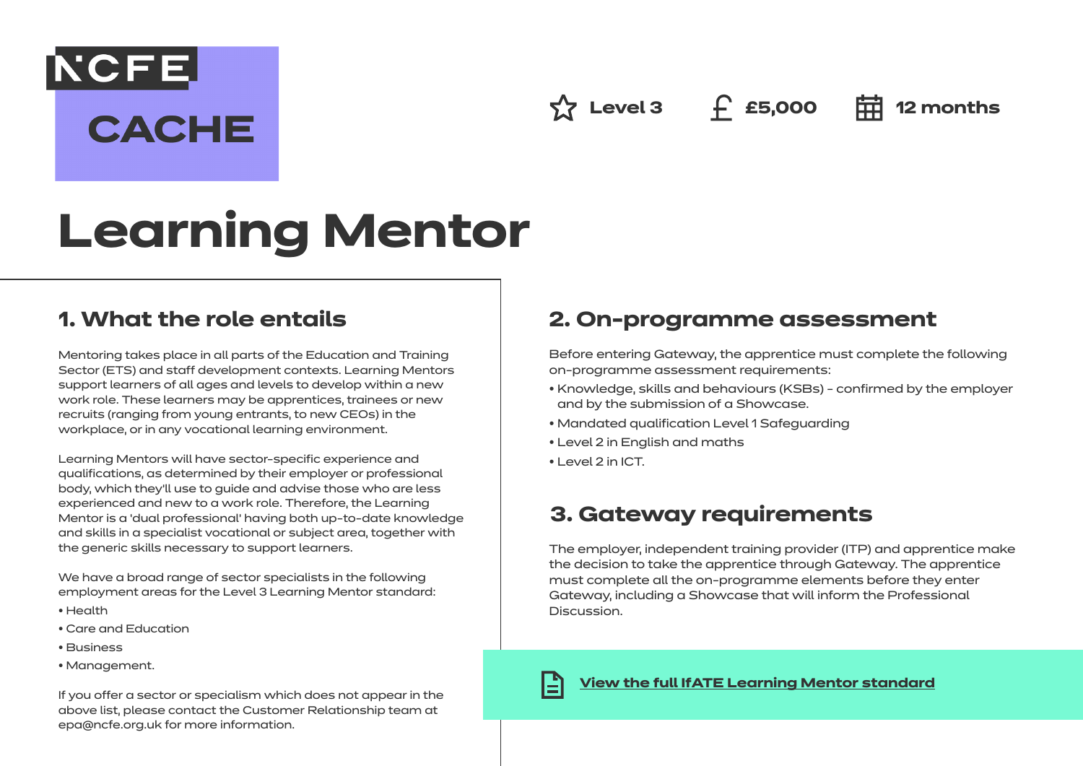**NCFE CACHE** 

**Level 3 £5,000 12 months**

# **Learning Mentor**

## **1. What the role entails**

Mentoring takes place in all parts of the Education and Training Sector (ETS) and staff development contexts. Learning Mentors support learners of all ages and levels to develop within a new work role. These learners may be apprentices, trainees or new recruits (ranging from young entrants, to new CEOs) in the workplace, or in any vocational learning environment.

Learning Mentors will have sector-specific experience and qualifications, as determined by their employer or professional body, which they'll use to guide and advise those who are less experienced and new to a work role. Therefore, the Learning Mentor is a 'dual professional' having both up-to-date knowledge and skills in a specialist vocational or subject area, together with the generic skills necessary to support learners.

We have a broad range of sector specialists in the following employment areas for the Level 3 Learning Mentor standard:

- Health
- Care and Education
- Business
- Management.

If you offer a sector or specialism which does not appear in the above list, please contact the Customer Relationship team at epa@ncfe.org.uk for more information.

## **2. On-programme assessment**

Before entering Gateway, the apprentice must complete the following on-programme assessment requirements:

- Knowledge, skills and behaviours (KSBs) confirmed by the employer and by the submission of a Showcase.
- Mandated qualification Level 1 Safeguarding
- Level 2 in English and maths
- Level 2 in ICT.

# **3. Gateway requirements**

The employer, independent training provider (ITP) and apprentice make the decision to take the apprentice through Gateway. The apprentice must complete all the on-programme elements before they enter Gateway, including a Showcase that will inform the Professional Discussion.



#### **[View the full IfATE Learning Mentor standard](https://www.instituteforapprenticeships.org/apprenticeship-standards/healthcare-assistant-practitioner/)**